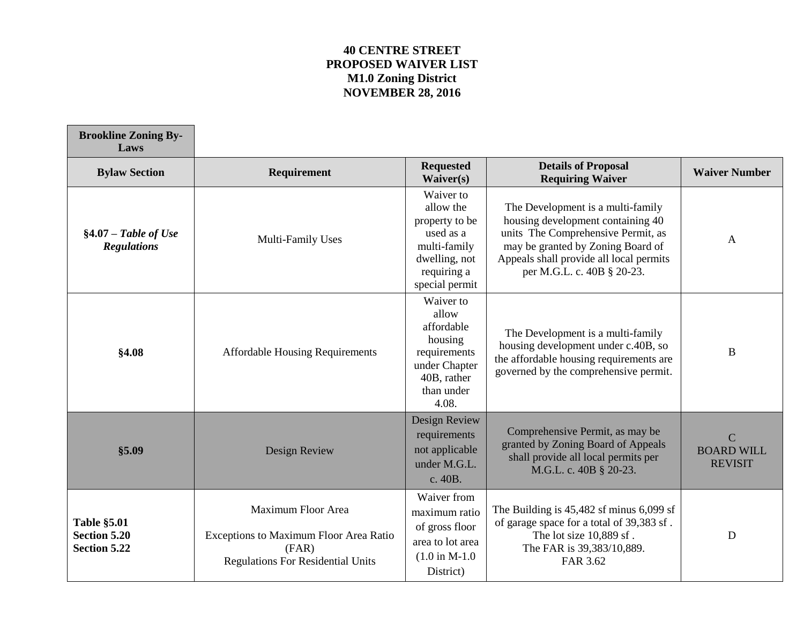## **40 CENTRE STREET PROPOSED WAIVER LIST M1.0 Zoning District NOVEMBER 28, 2016**

 $\overline{\phantom{0}}$ 

| <b>Brookline Zoning By-</b><br>Laws                              |                                                                                                                   |                                                                                                                         |                                                                                                                                                                                                                            |                                                       |
|------------------------------------------------------------------|-------------------------------------------------------------------------------------------------------------------|-------------------------------------------------------------------------------------------------------------------------|----------------------------------------------------------------------------------------------------------------------------------------------------------------------------------------------------------------------------|-------------------------------------------------------|
| <b>Bylaw Section</b>                                             | <b>Requirement</b>                                                                                                | <b>Requested</b><br>Waiver(s)                                                                                           | <b>Details of Proposal</b><br><b>Requiring Waiver</b>                                                                                                                                                                      | <b>Waiver Number</b>                                  |
| $§4.07 - Table$ of Use<br><b>Regulations</b>                     | Multi-Family Uses                                                                                                 | Waiver to<br>allow the<br>property to be<br>used as a<br>multi-family<br>dwelling, not<br>requiring a<br>special permit | The Development is a multi-family<br>housing development containing 40<br>units The Comprehensive Permit, as<br>may be granted by Zoning Board of<br>Appeals shall provide all local permits<br>per M.G.L. c. 40B § 20-23. | $\mathbf{A}$                                          |
| §4.08                                                            | <b>Affordable Housing Requirements</b>                                                                            | Waiver to<br>allow<br>affordable<br>housing<br>requirements<br>under Chapter<br>40B, rather<br>than under<br>4.08.      | The Development is a multi-family<br>housing development under c.40B, so<br>the affordable housing requirements are<br>governed by the comprehensive permit.                                                               | $\bf{B}$                                              |
| \$5.09                                                           | Design Review                                                                                                     | Design Review<br>requirements<br>not applicable<br>under M.G.L.<br>c. 40B.                                              | Comprehensive Permit, as may be<br>granted by Zoning Board of Appeals<br>shall provide all local permits per<br>M.G.L. c. 40B § 20-23.                                                                                     | $\overline{C}$<br><b>BOARD WILL</b><br><b>REVISIT</b> |
| <b>Table §5.01</b><br><b>Section 5.20</b><br><b>Section 5.22</b> | Maximum Floor Area<br>Exceptions to Maximum Floor Area Ratio<br>(FAR)<br><b>Regulations For Residential Units</b> | Waiver from<br>maximum ratio<br>of gross floor<br>area to lot area<br>$(1.0 \text{ in M-1.0})$<br>District)             | The Building is $45,482$ sf minus $6,099$ sf<br>of garage space for a total of 39,383 sf.<br>The lot size 10,889 sf.<br>The FAR is 39,383/10,889.<br>FAR 3.62                                                              | $\mathbf D$                                           |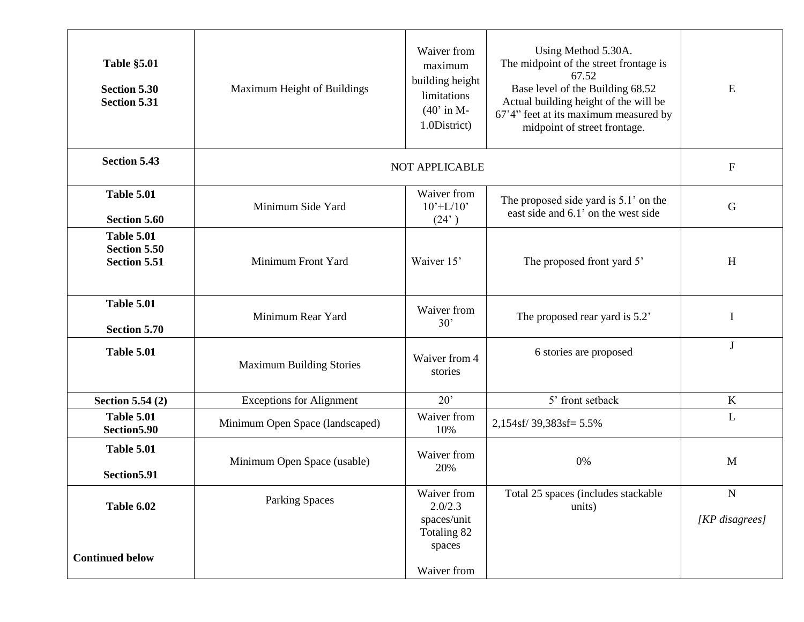| <b>Table §5.01</b><br><b>Section 5.30</b><br><b>Section 5.31</b> | Maximum Height of Buildings     | Waiver from<br>maximum<br>building height<br>limitations<br>$(40'$ in M-<br>1.0District) | Using Method 5.30A.<br>The midpoint of the street frontage is<br>67.52<br>Base level of the Building 68.52<br>Actual building height of the will be<br>67'4" feet at its maximum measured by<br>midpoint of street frontage. | ${\bf E}$                   |
|------------------------------------------------------------------|---------------------------------|------------------------------------------------------------------------------------------|------------------------------------------------------------------------------------------------------------------------------------------------------------------------------------------------------------------------------|-----------------------------|
| <b>Section 5.43</b>                                              | <b>NOT APPLICABLE</b>           |                                                                                          |                                                                                                                                                                                                                              | ${\bf F}$                   |
| <b>Table 5.01</b><br><b>Section 5.60</b>                         | Minimum Side Yard               | Waiver from<br>$10^{\circ}$ +L/10 $^{\circ}$<br>(24)                                     | The proposed side yard is 5.1' on the<br>east side and 6.1' on the west side                                                                                                                                                 | ${\bf G}$                   |
| <b>Table 5.01</b><br>Section 5.50<br><b>Section 5.51</b>         | Minimum Front Yard              | Waiver 15'                                                                               | The proposed front yard 5'                                                                                                                                                                                                   | H                           |
| <b>Table 5.01</b><br><b>Section 5.70</b>                         | Minimum Rear Yard               | Waiver from<br>30'                                                                       | The proposed rear yard is 5.2'                                                                                                                                                                                               | I                           |
| <b>Table 5.01</b>                                                | <b>Maximum Building Stories</b> | Waiver from 4<br>stories                                                                 | 6 stories are proposed                                                                                                                                                                                                       | J                           |
| <b>Section 5.54 (2)</b>                                          | <b>Exceptions for Alignment</b> | $20^{\circ}$                                                                             | 5' front setback                                                                                                                                                                                                             | $\bf K$                     |
| <b>Table 5.01</b><br>Section 5.90                                | Minimum Open Space (landscaped) | Waiver from<br>10%                                                                       | 2,154sf/39,383sf=5.5%                                                                                                                                                                                                        | $\mathbf{L}$                |
| <b>Table 5.01</b><br>Section 5.91                                | Minimum Open Space (usable)     | Waiver from<br>20%                                                                       | 0%                                                                                                                                                                                                                           | $\mathbf{M}$                |
| Table 6.02                                                       | <b>Parking Spaces</b>           | Waiver from<br>2.0/2.3<br>spaces/unit                                                    | Total 25 spaces (includes stackable<br>units)                                                                                                                                                                                | ${\bf N}$<br>[KP disagrees] |
| <b>Continued below</b>                                           |                                 | Totaling 82<br>spaces<br>Waiver from                                                     |                                                                                                                                                                                                                              |                             |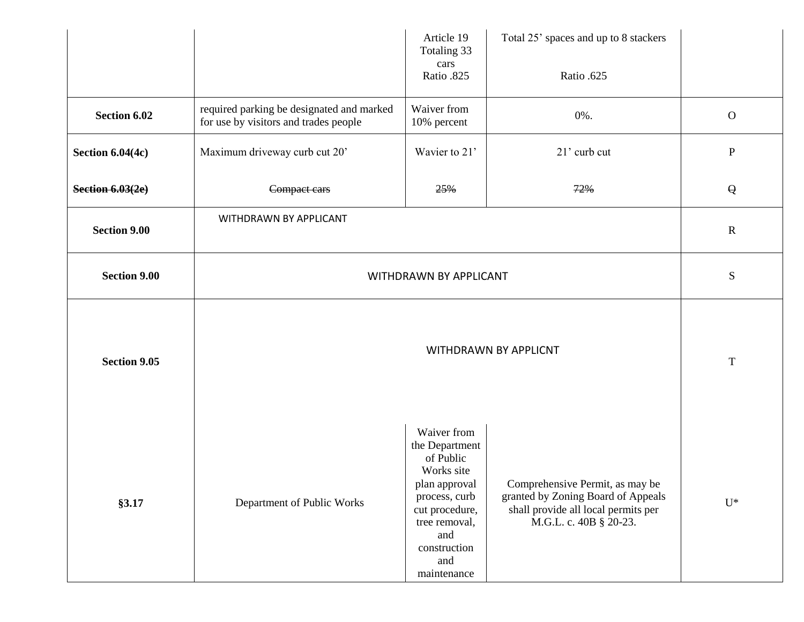|                         |                                                                                    | Article 19<br>Totaling 33<br>cars<br>Ratio .825                                                                                                                            | Total 25' spaces and up to 8 stackers<br>Ratio .625                                                                                    |                |
|-------------------------|------------------------------------------------------------------------------------|----------------------------------------------------------------------------------------------------------------------------------------------------------------------------|----------------------------------------------------------------------------------------------------------------------------------------|----------------|
| Section 6.02            | required parking be designated and marked<br>for use by visitors and trades people | Waiver from<br>10% percent                                                                                                                                                 | 0%.                                                                                                                                    | $\mathbf{O}$   |
| <b>Section 6.04(4c)</b> | Maximum driveway curb cut 20'                                                      | Wavier to 21'                                                                                                                                                              | 21' curb cut                                                                                                                           | ${\bf P}$      |
| <b>Section 6.03(2e)</b> | Compact cars                                                                       | 25%                                                                                                                                                                        | 72%                                                                                                                                    | $\mathsf{Q}$   |
| <b>Section 9.00</b>     | WITHDRAWN BY APPLICANT                                                             |                                                                                                                                                                            |                                                                                                                                        | $\mathbf R$    |
| <b>Section 9.00</b>     | WITHDRAWN BY APPLICANT                                                             |                                                                                                                                                                            |                                                                                                                                        | ${\bf S}$      |
| <b>Section 9.05</b>     | WITHDRAWN BY APPLICNT                                                              |                                                                                                                                                                            |                                                                                                                                        | $\mathbf T$    |
| §3.17                   | Department of Public Works                                                         | Waiver from<br>the Department<br>of Public<br>Works site<br>plan approval<br>process, curb<br>cut procedure,<br>tree removal,<br>and<br>construction<br>and<br>maintenance | Comprehensive Permit, as may be<br>granted by Zoning Board of Appeals<br>shall provide all local permits per<br>M.G.L. c. 40B § 20-23. | $\mathbf{U}^*$ |